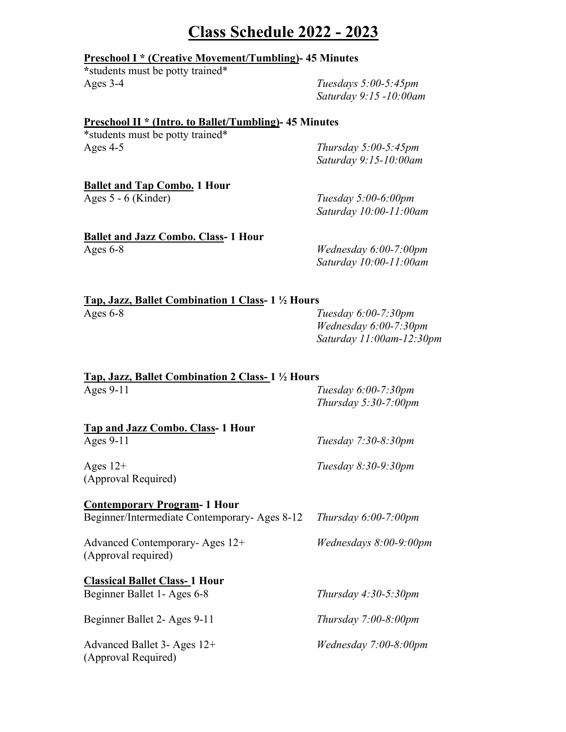## **Class Schedule 2022 - 2023**

### **Preschool I \* (Creative Movement/Tumbling)- 45 Minutes**

**\***students must be potty trained\* Ages 3-4 *Tuesdays 5:00-5:45pm*

*Saturday 9:15 -10:00am*

### **Preschool II \* (Intro. to Ballet/Tumbling)- 45 Minutes**

\*students must be potty trained\* Ages 4-5 *Thursday 5:00-5:45pm*

*Saturday 9:15-10:00am*

# **Ballet and Tap Combo. 1 Hour**

Ages 5 - 6 (Kinder) *Tuesday 5:00-6:00pm Saturday 10:00-11:00am*

### **Ballet and Jazz Combo. Class- 1 Hour** Ages 6-8 *Wednesday 6:00-7:00pm*

*Saturday 10:00-11:00am*

| Tap, Jazz, Ballet Combination 1 Class- 1 ½ Hours |                        |
|--------------------------------------------------|------------------------|
| Ages $6-8$                                       | Tuesday $6:00-7:30$ pm |

*Wednesday 6:00-7:30pm Saturday 11:00am-12:30pm*

| Tap, Jazz, Ballet Combination 2 Class- 1 1/2 Hours    |                                                |  |
|-------------------------------------------------------|------------------------------------------------|--|
| Ages $9-11$                                           | Tuesday 6:00-7:30pm<br>Thursday $5:30-7:00$ pm |  |
| <b>Tap and Jazz Combo. Class-1 Hour</b>               |                                                |  |
| Ages 9-11                                             | Tuesday 7:30-8:30pm                            |  |
| Ages $12+$<br>(Approval Required)                     | Tuesday 8:30-9:30pm                            |  |
| <b>Contemporary Program-1 Hour</b>                    |                                                |  |
| Beginner/Intermediate Contemporary-Ages 8-12          | Thursday $6:00-7:00$ pm                        |  |
| Advanced Contemporary-Ages 12+<br>(Approval required) | Wednesdays 8:00-9:00pm                         |  |
| <b>Classical Ballet Class-1 Hour</b>                  |                                                |  |
| Beginner Ballet 1- Ages 6-8                           | Thursday $4:30-5:30$ pm                        |  |
| Beginner Ballet 2- Ages 9-11                          | Thursday $7:00-8:00$ pm                        |  |
| Advanced Ballet 3- Ages 12+<br>(Approval Required)    | <i>Wednesday</i> $7:00-8:00$ <i>pm</i>         |  |